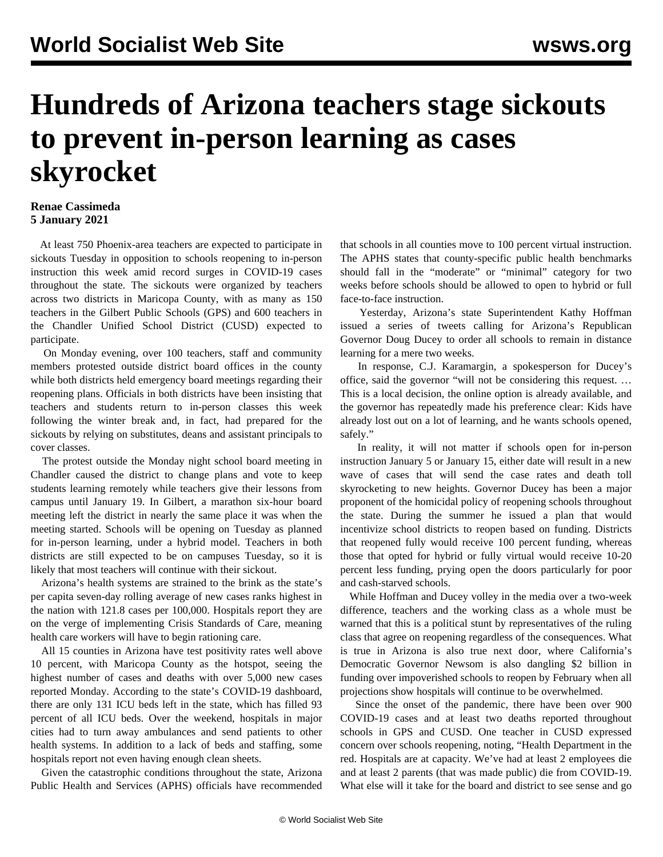## **Hundreds of Arizona teachers stage sickouts to prevent in-person learning as cases skyrocket**

## **Renae Cassimeda 5 January 2021**

 At least 750 Phoenix-area teachers are expected to participate in sickouts Tuesday in opposition to schools reopening to in-person instruction this week amid record surges in COVID-19 cases throughout the state. The sickouts were organized by teachers across two districts in Maricopa County, with as many as 150 teachers in the Gilbert Public Schools (GPS) and 600 teachers in the Chandler Unified School District (CUSD) expected to participate.

 On Monday evening, over 100 teachers, staff and community members protested outside district board offices in the county while both districts held emergency board meetings regarding their reopening plans. Officials in both districts have been insisting that teachers and students return to in-person classes this week following the winter break and, in fact, had prepared for the sickouts by relying on substitutes, deans and assistant principals to cover classes.

 The protest outside the Monday night school board meeting in Chandler caused the district to change plans and vote to keep students learning remotely while teachers give their lessons from campus until January 19. In Gilbert, a marathon six-hour board meeting left the district in nearly the same place it was when the meeting started. Schools will be opening on Tuesday as planned for in-person learning, under a hybrid model. Teachers in both districts are still expected to be on campuses Tuesday, so it is likely that most teachers will continue with their sickout.

 Arizona's health systems are strained to the brink as the state's per capita seven-day rolling average of new cases ranks highest in the nation with 121.8 cases per 100,000. Hospitals report they are on the verge of implementing Crisis Standards of Care, meaning health care workers will have to begin rationing care.

 All 15 counties in Arizona have test positivity rates well above 10 percent, with Maricopa County as the hotspot, seeing the highest number of cases and deaths with over 5,000 new cases reported Monday. According to the state's COVID-19 dashboard, there are only 131 ICU beds left in the state, which has filled 93 percent of all ICU beds. Over the weekend, hospitals in major cities had to turn away ambulances and send patients to other health systems. In addition to a lack of beds and staffing, some hospitals report not even having enough clean sheets.

 Given the catastrophic conditions throughout the state, Arizona Public Health and Services (APHS) officials have recommended

that schools in all counties move to 100 percent virtual instruction. The APHS states that county-specific public health benchmarks should fall in the "moderate" or "minimal" category for two weeks before schools should be allowed to open to hybrid or full face-to-face instruction.

 Yesterday, Arizona's state Superintendent Kathy Hoffman issued a series of tweets calling for Arizona's Republican Governor Doug Ducey to order all schools to remain in distance learning for a mere two weeks.

 In response, C.J. Karamargin, a spokesperson for Ducey's office, said the governor "will not be considering this request. … This is a local decision, the online option is already available, and the governor has repeatedly made his preference clear: Kids have already lost out on a lot of learning, and he wants schools opened, safely."

 In reality, it will not matter if schools open for in-person instruction January 5 or January 15, either date will result in a new wave of cases that will send the case rates and death toll skyrocketing to new heights. Governor Ducey has been a major proponent of the homicidal policy of reopening schools throughout the state. During the summer he issued a plan that would incentivize school districts to reopen based on funding. Districts that reopened fully would receive 100 percent funding, whereas those that opted for hybrid or fully virtual would receive 10-20 percent less funding, prying open the doors particularly for poor and cash-starved schools.

 While Hoffman and Ducey volley in the media over a two-week difference, teachers and the working class as a whole must be warned that this is a political stunt by representatives of the ruling class that agree on reopening regardless of the consequences. What is true in Arizona is also true next door, where California's Democratic Governor Newsom is also dangling \$2 billion in funding over impoverished schools to reopen by February when all projections show hospitals will continue to be overwhelmed.

 Since the onset of the pandemic, there have been over 900 COVID-19 cases and at least two deaths reported throughout schools in GPS and CUSD. One teacher in CUSD expressed concern over schools reopening, noting, "Health Department in the red. Hospitals are at capacity. We've had at least 2 employees die and at least 2 parents (that was made public) die from COVID-19. What else will it take for the board and district to see sense and go